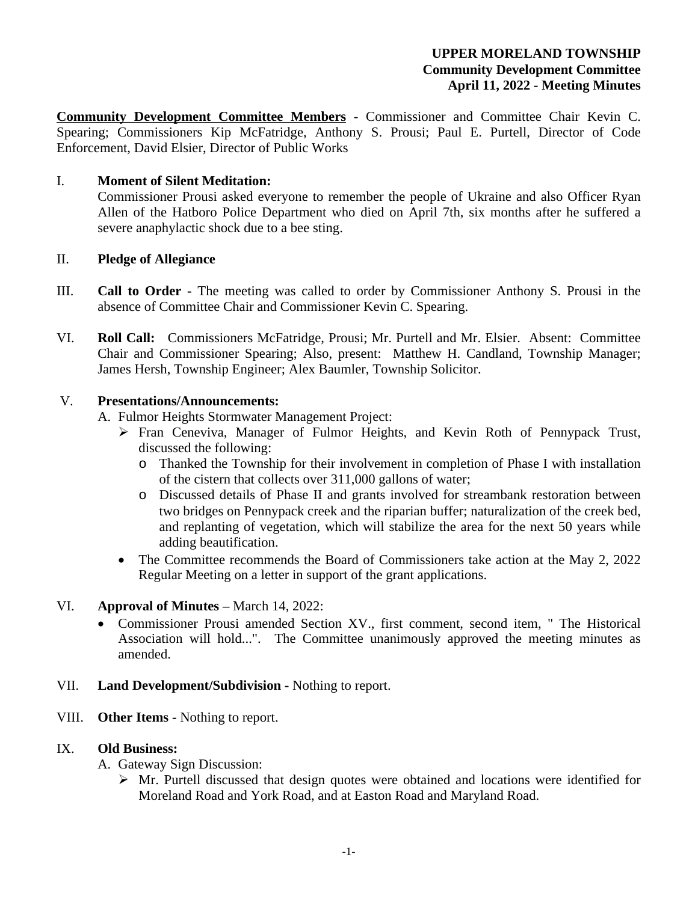# **UPPER MORELAND TOWNSHIP Community Development Committee April 11, 2022 - Meeting Minutes**

**Community Development Committee Members** - Commissioner and Committee Chair Kevin C. Spearing; Commissioners Kip McFatridge, Anthony S. Prousi; Paul E. Purtell, Director of Code Enforcement, David Elsier, Director of Public Works

## I. **Moment of Silent Meditation:**

Commissioner Prousi asked everyone to remember the people of Ukraine and also Officer Ryan Allen of the Hatboro Police Department who died on April 7th, six months after he suffered a severe anaphylactic shock due to a bee sting.

## II. **Pledge of Allegiance**

- III. **Call to Order -** The meeting was called to order by Commissioner Anthony S. Prousi in the absence of Committee Chair and Commissioner Kevin C. Spearing.
- VI. **Roll Call:** Commissioners McFatridge, Prousi; Mr. Purtell and Mr. Elsier. Absent: Committee Chair and Commissioner Spearing; Also, present: Matthew H. Candland, Township Manager; James Hersh, Township Engineer; Alex Baumler, Township Solicitor.

## V. **Presentations/Announcements:**

- A. Fulmor Heights Stormwater Management Project:
	- Fran Ceneviva, Manager of Fulmor Heights, and Kevin Roth of Pennypack Trust, discussed the following:
		- o Thanked the Township for their involvement in completion of Phase I with installation of the cistern that collects over 311,000 gallons of water;
		- o Discussed details of Phase II and grants involved for streambank restoration between two bridges on Pennypack creek and the riparian buffer; naturalization of the creek bed, and replanting of vegetation, which will stabilize the area for the next 50 years while adding beautification.
	- The Committee recommends the Board of Commissioners take action at the May 2, 2022 Regular Meeting on a letter in support of the grant applications.

# VI. **Approval of Minutes –** March 14, 2022:

- Commissioner Prousi amended Section XV., first comment, second item, " The Historical Association will hold...". The Committee unanimously approved the meeting minutes as amended.
- VII. **Land Development/Subdivision** Nothing to report.
- VIII. **Other Items** Nothing to report.

#### IX. **Old Business:**

A. Gateway Sign Discussion:

 $\triangleright$  Mr. Purtell discussed that design quotes were obtained and locations were identified for Moreland Road and York Road, and at Easton Road and Maryland Road.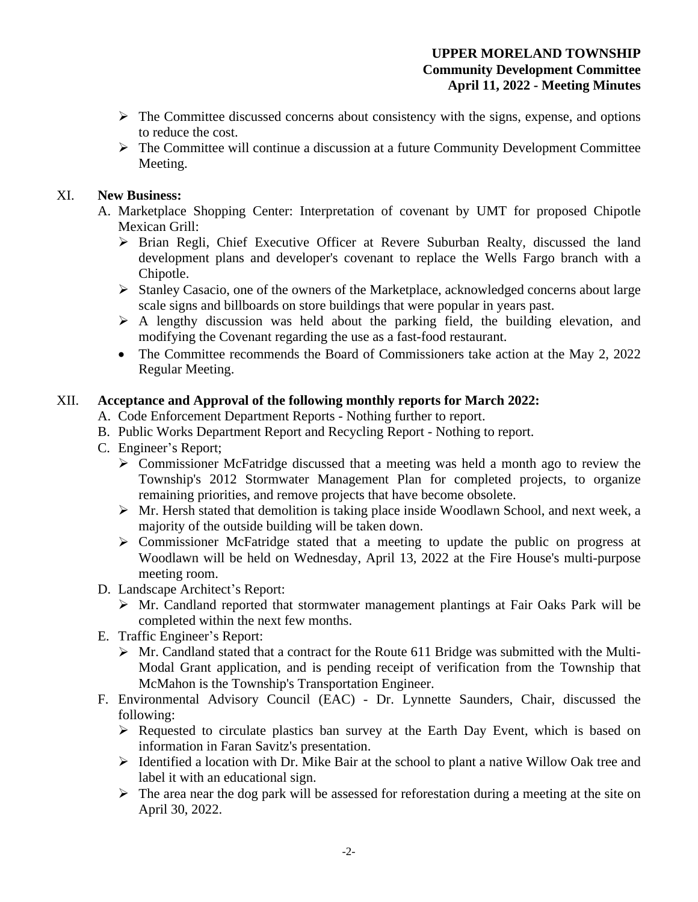- $\triangleright$  The Committee discussed concerns about consistency with the signs, expense, and options to reduce the cost.
- $\triangleright$  The Committee will continue a discussion at a future Community Development Committee Meeting.

## XI. **New Business:**

- A. Marketplace Shopping Center: Interpretation of covenant by UMT for proposed Chipotle Mexican Grill:
	- $\triangleright$  Brian Regli, Chief Executive Officer at Revere Suburban Realty, discussed the land development plans and developer's covenant to replace the Wells Fargo branch with a Chipotle.
	- Stanley Casacio, one of the owners of the Marketplace, acknowledged concerns about large scale signs and billboards on store buildings that were popular in years past.
	- $\triangleright$  A lengthy discussion was held about the parking field, the building elevation, and modifying the Covenant regarding the use as a fast-food restaurant.
	- The Committee recommends the Board of Commissioners take action at the May 2, 2022 Regular Meeting.

## XII. **Acceptance and Approval of the following monthly reports for March 2022:**

- A. Code Enforcement Department Reports Nothing further to report.
- B. Public Works Department Report and Recycling Report Nothing to report.
- C. Engineer's Report;
	- Commissioner McFatridge discussed that a meeting was held a month ago to review the Township's 2012 Stormwater Management Plan for completed projects, to organize remaining priorities, and remove projects that have become obsolete.
	- $\triangleright$  Mr. Hersh stated that demolition is taking place inside Woodlawn School, and next week, a majority of the outside building will be taken down.
	- Commissioner McFatridge stated that a meeting to update the public on progress at Woodlawn will be held on Wednesday, April 13, 2022 at the Fire House's multi-purpose meeting room.
- D. Landscape Architect's Report:
	- Mr. Candland reported that stormwater management plantings at Fair Oaks Park will be completed within the next few months.
- E. Traffic Engineer's Report:
	- Mr. Candland stated that a contract for the Route 611 Bridge was submitted with the Multi-Modal Grant application, and is pending receipt of verification from the Township that McMahon is the Township's Transportation Engineer.
- F. Environmental Advisory Council (EAC) Dr. Lynnette Saunders, Chair, discussed the following:
	- $\triangleright$  Requested to circulate plastics ban survey at the Earth Day Event, which is based on information in Faran Savitz's presentation.
	- $\triangleright$  Identified a location with Dr. Mike Bair at the school to plant a native Willow Oak tree and label it with an educational sign.
	- $\triangleright$  The area near the dog park will be assessed for reforestation during a meeting at the site on April 30, 2022.